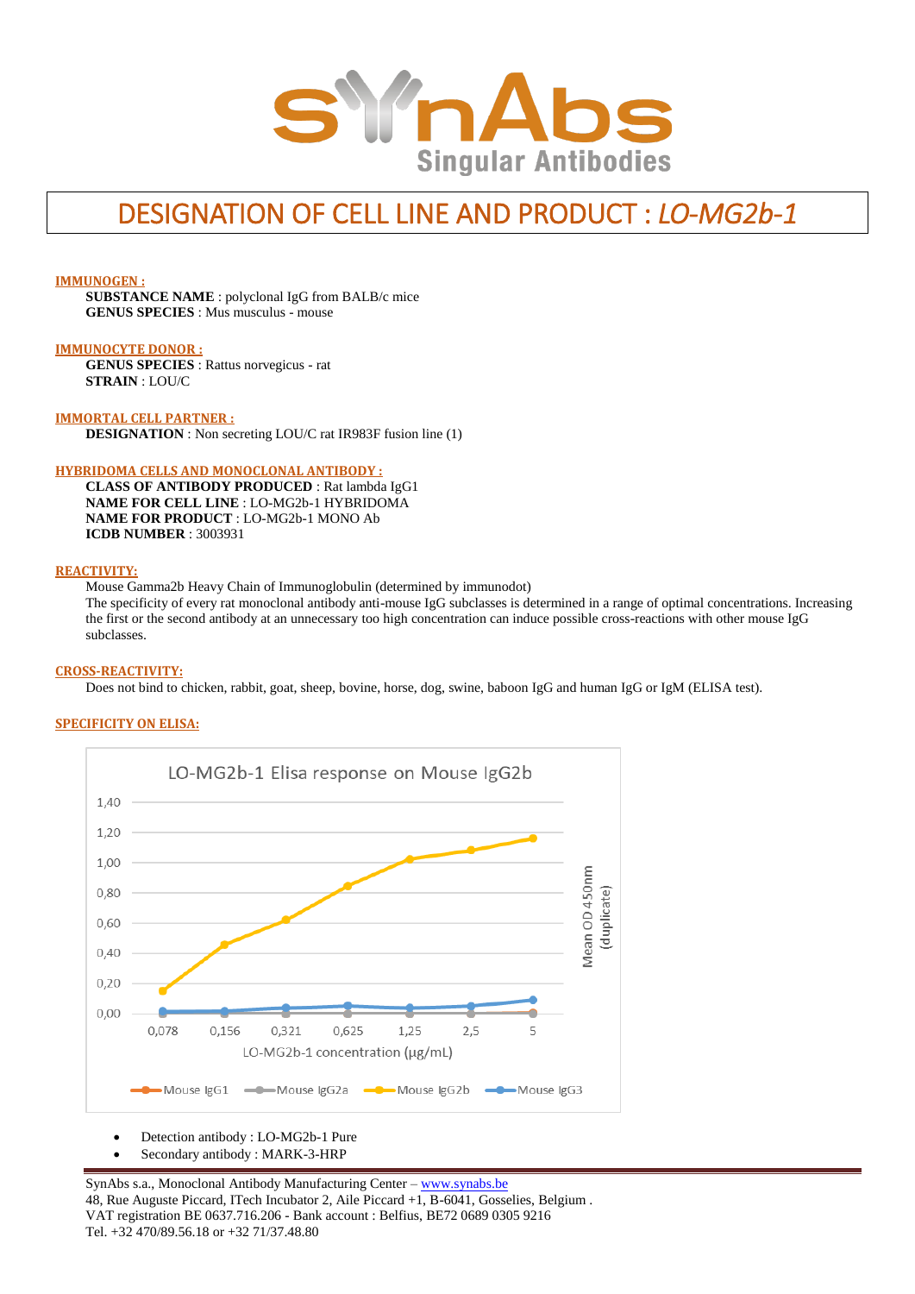

# DESIGNATION OF CELL LINE AND PRODUCT : *LO-MG2b-1*

#### **IMMUNOGEN :**

**SUBSTANCE NAME** : polyclonal IgG from BALB/c mice **GENUS SPECIES** : Mus musculus - mouse

#### **IMMUNOCYTE DONOR :**

**GENUS SPECIES** : Rattus norvegicus - rat **STRAIN** : LOU/C

#### **IMMORTAL CELL PARTNER :**

**DESIGNATION** : Non secreting LOU/C rat IR983F fusion line (1)

#### **HYBRIDOMA CELLS AND MONOCLONAL ANTIBODY :**

**CLASS OF ANTIBODY PRODUCED** : Rat lambda IgG1 **NAME FOR CELL LINE** : LO-MG2b-1 HYBRIDOMA **NAME FOR PRODUCT** : LO-MG2b-1 MONO Ab **ICDB NUMBER** : 3003931

#### **REACTIVITY:**

Mouse Gamma2b Heavy Chain of Immunoglobulin (determined by immunodot)

The specificity of every rat monoclonal antibody anti-mouse IgG subclasses is determined in a range of optimal concentrations. Increasing the first or the second antibody at an unnecessary too high concentration can induce possible cross-reactions with other mouse IgG subclasses.

#### **CROSS-REACTIVITY:**

Does not bind to chicken, rabbit, goat, sheep, bovine, horse, dog, swine, baboon IgG and human IgG or IgM (ELISA test).

## **SPECIFICITY ON ELISA:**



Detection antibody : LO-MG2b-1 Pure

Secondary antibody : MARK-3-HRP

SynAbs s.a., Monoclonal Antibody Manufacturing Center - [www.synabs.be](http://www.synabs.be/) 48, Rue Auguste Piccard, ITech Incubator 2, Aile Piccard +1, B-6041, Gosselies, Belgium . VAT registration BE 0637.716.206 - Bank account : Belfius, BE72 0689 0305 9216 Tel. +32 470/89.56.18 or +32 71/37.48.80